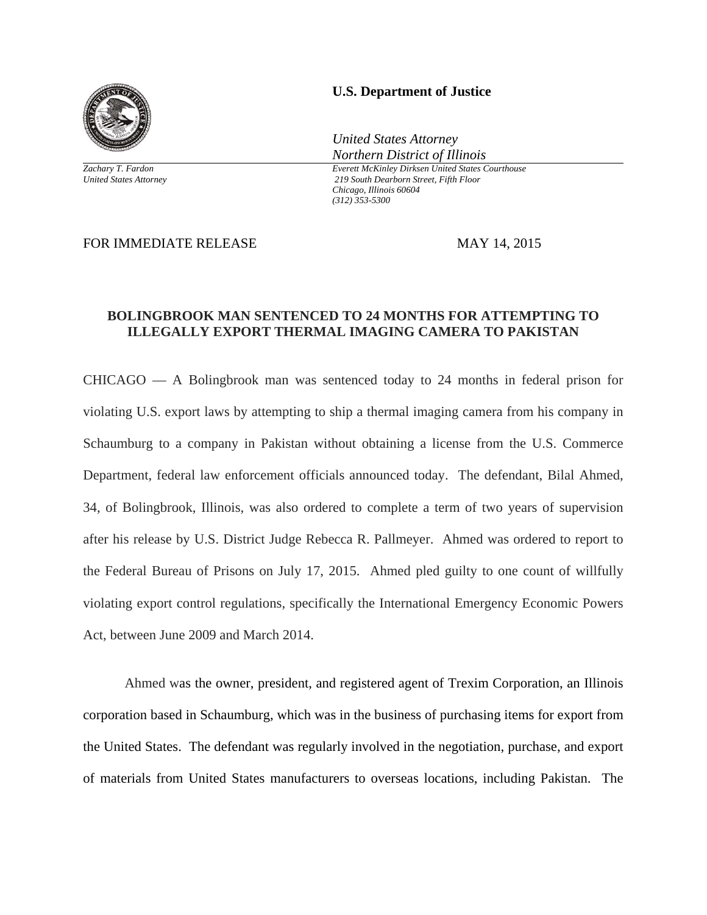

*Zachary T. Fardon United States Attorney* 

## **U.S. Department of Justice**

*United States Attorney Northern District of Illinois*

*Everett McKinley Dirksen United States Courthouse 219 South Dearborn Street, Fifth Floor Chicago, Illinois 60604 (312) 353-5300* 

FOR IMMEDIATE RELEASE MAY 14, 2015

## **BOLINGBROOK MAN SENTENCED TO 24 MONTHS FOR ATTEMPTING TO ILLEGALLY EXPORT THERMAL IMAGING CAMERA TO PAKISTAN**

CHICAGO — A Bolingbrook man was sentenced today to 24 months in federal prison for violating U.S. export laws by attempting to ship a thermal imaging camera from his company in Schaumburg to a company in Pakistan without obtaining a license from the U.S. Commerce Department, federal law enforcement officials announced today. The defendant, Bilal Ahmed, 34, of Bolingbrook, Illinois, was also ordered to complete a term of two years of supervision after his release by U.S. District Judge Rebecca R. Pallmeyer. Ahmed was ordered to report to the Federal Bureau of Prisons on July 17, 2015. Ahmed pled guilty to one count of willfully violating export control regulations, specifically the International Emergency Economic Powers Act, between June 2009 and March 2014.

 Ahmed was the owner, president, and registered agent of Trexim Corporation, an Illinois corporation based in Schaumburg, which was in the business of purchasing items for export from the United States. The defendant was regularly involved in the negotiation, purchase, and export of materials from United States manufacturers to overseas locations, including Pakistan. The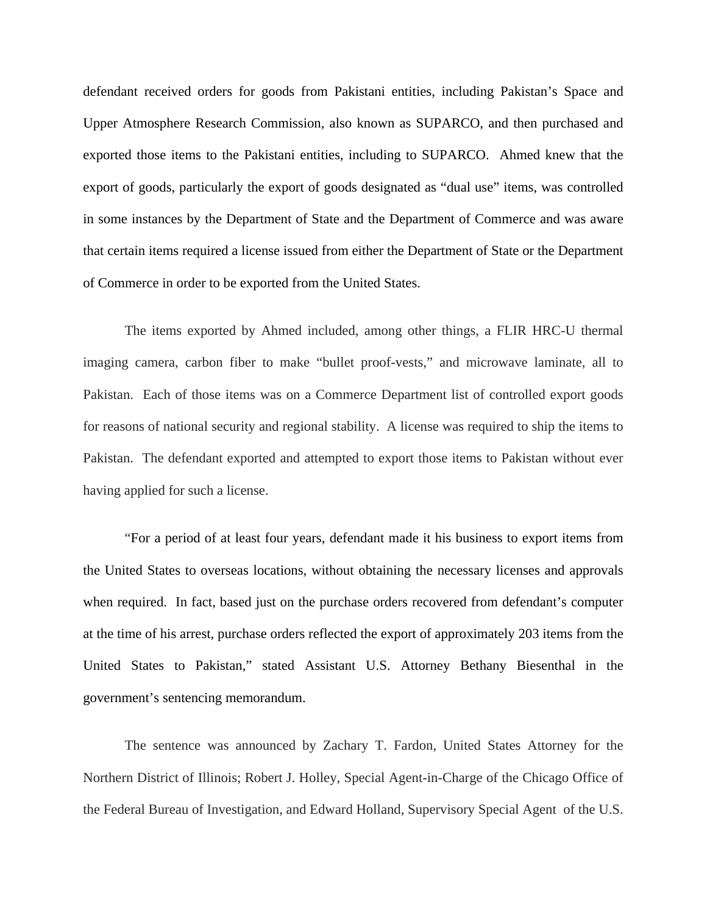defendant received orders for goods from Pakistani entities, including Pakistan's Space and Upper Atmosphere Research Commission, also known as SUPARCO, and then purchased and exported those items to the Pakistani entities, including to SUPARCO. Ahmed knew that the export of goods, particularly the export of goods designated as "dual use" items, was controlled in some instances by the Department of State and the Department of Commerce and was aware that certain items required a license issued from either the Department of State or the Department of Commerce in order to be exported from the United States.

The items exported by Ahmed included, among other things, a FLIR HRC-U thermal imaging camera, carbon fiber to make "bullet proof-vests," and microwave laminate, all to Pakistan. Each of those items was on a Commerce Department list of controlled export goods for reasons of national security and regional stability. A license was required to ship the items to Pakistan. The defendant exported and attempted to export those items to Pakistan without ever having applied for such a license.

"For a period of at least four years, defendant made it his business to export items from the United States to overseas locations, without obtaining the necessary licenses and approvals when required. In fact, based just on the purchase orders recovered from defendant's computer at the time of his arrest, purchase orders reflected the export of approximately 203 items from the United States to Pakistan," stated Assistant U.S. Attorney Bethany Biesenthal in the government's sentencing memorandum.

The sentence was announced by Zachary T. Fardon, United States Attorney for the Northern District of Illinois; Robert J. Holley, Special Agent-in-Charge of the Chicago Office of the Federal Bureau of Investigation, and Edward Holland, Supervisory Special Agent of the U.S.